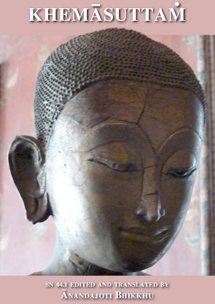# KHEMĀSUTTAM

SN 44.1 EDITED AND TRANSLATED BY **ANANDAJOTI BHIKKHU**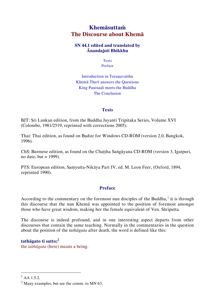## **Khemāsuttaṁ The Discourse about Khemā**

#### **SN 44.1 edited and translated by Ānandajoti Bhikkhu**

**[Texts](#page-1-0)** [Preface](#page-1-1)

Introduction in Toranavatthu [Khemā Therī answers the Questions](#page-5-0) [King Pasenadi meets the Buddha](#page-12-0) [The Conclusion](#page-19-0)

#### <span id="page-1-0"></span>**Texts**

BJT: Sri Lankan edition, from the Buddha Jayanti Tripitaka Series, Volume XVI (Colombo, 1981/2519, reprinted with corrections 2005).

Thai: Thai edition, as found on Budsir for Windows CD-ROM (version 2.0, Bangkok, 1996).

ChS: Burmese edition, as found on the Chaṭṭha Saṅgāyana CD-ROM (version 3, Igatpuri, no date, but  $= 1999$ ).

PTS: European edition, Saṃyutta-Nikāya Part IV, ed. M. Leon Feer, (Oxford, 1894, reprinted 1990).

#### <span id="page-1-1"></span>**Preface**

According to the commentary on the foremost nun disciples of the Buddha, $<sup>1</sup>$  it is through</sup> this discourse that the nun Khemā was appointed to the position of foremost amongst those who have great wisdom, making her the female equivalent of Ven. Sāriputta.

The discourse is indeed profound, and in one interesting aspect departs from other discourses that contain the same teaching. Normally in the commentaries in the question about the position of the *tathāgata* after death, the word is defined like this:

**tathāgato ti satto;<sup>2</sup>**

the *tathāgata* (here) means a being.

 $1$  AA 1.5.2.

 $<sup>2</sup>$  Many examples, but see the comm. to MN 63.</sup>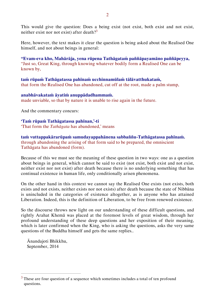This would give the question: Does a being exist (not exist, both exist and not exist, neither exist nor not exist) after death? $3$ 

Here, however, the text makes it clear the question is being asked about the Realised One himself, and not about beings in general:

**"Evam-eva kho, Mahārāja, yena rūpena Tathāgataṁ paññāpayamāno paññāpeyya,** "Just so, Great King, through knowing whatever bodily form a Realised One can be known by,

#### **taṁ rūpaṁ Tathāgatassa pahīnaṁ ucchinnamūlaṁ tālāvatthukataṁ,**

that form the Realised One has abandoned, cut off at the root, made a palm stump,

#### **anabhāvakataṁ āyatiṁ anuppādadhammaṁ.**

made unviable, so that by nature it is unable to rise again in the future.

And the commentary concurs:

**'Taṁ rūpaṁ Tathāgatassa pahīnan,'-ti**  'That form the *Tathāgata* has abandoned,' means

**taṁ vuttappakārarūpaṁ samudayappahānena sabbaññu-Tathāgatassa pahīnaṁ.** through abandoning the arising of that form said to be prepared, the omniscient Tathāgata has abandoned (form).

Because of this we must see the meaning of these question in two ways: one as a question about beings in general, which cannot be said to exist (not exist, both exist and not exist, neither exist nor not exist) after death because there is no underlying something that has continual existence in human life, only conditionally arisen phenomena.

On the other hand in this context we cannot say the Realised One exists (not exists, both exists and not exists, neither exists nor not exists) after death because the state of Nibbāna is unincluded in the categories of existence altogether, as is anyone who has attained Liberation. Indeed, this is the definition of Liberation, to be free from renewed existence.

So the discourse throws new light on our understanding of these difficult questions, and rightly Arahat Khemā was placed at the foremost levels of great wisdom, through her profound understanding of these deep questions and her exposition of their meaning, which is later confirmed when the King, who is asking the questions, asks the very same questions of the Buddha himself and gets the same replies..

Ānandajoti Bhikkhu, September, 2014

 $3$  These are four question of a sequence which sometimes includes a total of ten profound questions.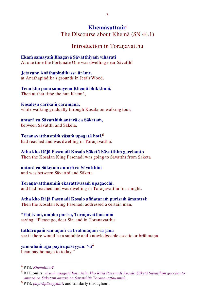## <span id="page-3-0"></span>**Khemāsuttaṁ<sup>4</sup>**

The Discourse about Khemā (SN 44.1)

## Introduction in Toraṇavatthu

#### **Ekaṁ samayaṁ Bhagavā Sāvatthiyaṁ viharati**

At one time the Fortunate One was dwelling near Sāvatthī

#### **Jetavane Anāthapiṇḍikassa ārāme.**

at Anāthapiṇḍika's grounds in Jeta's Wood.

#### **Tena kho pana samayena Khemā bhikkhunī,** Then at that time the nun Khemā,

**Kosalesu cārikaṁ caramānā,**  while walking gradually through Kosala on walking tour,

## **antarā ca Sāvatthiṁ antarā ca Sāketaṁ,**

between Sāvatthī and Sāketa,

## **Toraṇavatthusmiṁ vāsaṁ upagatā hoti.<sup>5</sup>**

had reached and was dwelling in Toranavatthu.

## **Atha kho Rājā Pasenadi Kosalo Sāketā Sāvatthiṁ gacchanto**

Then the Kosalan King Pasenadi was going to Sāvatthī from Sāketa

## **antarā ca Sāketaṁ antarā ca Sāvatthiṁ**

and was between Sāvatthī and Sāketa

## **Toraṇavatthusmiṁ ekarattivāsaṁ upagacchi.**

and had reached and was dwelling in Toraṇavatthu for a night.

# **Atha kho Rājā Pasenadi Kosalo aññataraṁ purisaṁ āmantesi:**

Then the Kosalan King Pasenadi addressed a certain man,

## **"Ehi tvaṁ, ambho purisa, Toraṇavatthusmiṁ**

saying: "Please go, dear Sir, and in Toranavatthu

#### **tathārūpaṁ samaṇaṁ vā brāhmaṇaṁ vā jāna**  see if there would be a suitable and knowledgeable ascetic or brāhmana

## **yam-ahaṁ ajja payirupāseyyan."-ti<sup>6</sup>**

I can pay homage to today."

<sup>4</sup> PTS: *Khemātherī*.

<sup>5</sup> RTE omits: *vāsaṁ upagatā hoti. Atha kho Rājā Pasenadi Kosalo Sāketā Sāvatthiṁ gacchanto antarā ca Sāketaṁ antarā ca Sāvatthiṁ Toraṇavatthusmiṁ*.

<sup>6</sup> PTS: *payirūpāseyyanti*; and similarly throughout.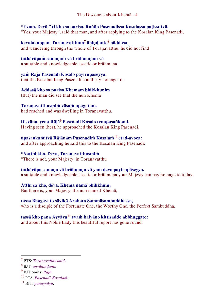#### **"Evaṁ, Devā," ti kho so puriso, Rañño Pasenadissa Kosalassa paṭissutvā,** "Yes, your Majesty", said that man, and after replying to the Kosalan King Pasenadi,

**kevalakappaṁ Toraṇavatthuṁ<sup>7</sup> āhiṇḍanto<sup>8</sup> nāddasa**  and wandering through the whole of Toraṇavatthu, he did not find

**tathārūpaṁ samaṇaṁ vā brāhmaṇaṁ vā**  a suitable and knowledgeable ascetic or brāhmana

**yaṁ Rājā Pasenadi Kosalo payirupāseyya.** that the Kosalan King Pasenadi could pay homage to.

## **Addasā kho so puriso Khemaṁ bhikkhuniṁ**

(But) the man did see that the nun Khemā

## **Toraṇavatthusmiṁ vāsaṁ upagataṁ.**

had reached and was dwelling in Toranavatthu.

## **Disvāna, yena Rājā<sup>9</sup> Pasenadi Kosalo tenupasaṅkami,**

Having seen (her), he approached the Kosalan King Pasenadi,

## **upasaṅkamitvā Rājānaṁ Pasenadiṁ Kosalaṁ<sup>10</sup> etad-avoca:**

and after approaching he said this to the Kosalan King Pasenadi:

## **"Natthi kho, Deva, Toraṇavatthusmiṁ**

"There is not, your Majesty, in Toraṇavatthu

## **tathārūpo samaṇo vā brāhmaṇo vā yaṁ devo payirupāseyya.**

a suitable and knowledgeable ascetic or brāhmaṇa your Majesty can pay homage to today.

## **Atthi ca kho, deva, Khemā nāma bhikkhunī,**

But there is, your Majesty, the nun named Khemā,

## **tassa Bhagavato sāvikā Arahato Sammāsambuddhassa,**

who is a disciple of the Fortunate One, the Worthy One, the Perfect Sambuddha,

## **tassā kho pana Ayyāya<sup>11</sup> evaṁ kalyāṇo kittisaddo abbhuggato:**

and about this Noble Lady this beautiful report has gone round:

<sup>7</sup> PTS: *Toraṇavatthusmiṁ*.

<sup>8</sup> BJT: *anvāhiṇḍanto*.

<sup>9</sup> BJT omits: *Rājā*.

<sup>10</sup> PTS: *Pasenadi-Kosalaṁ*.

<sup>11</sup> BJT: *panayyāya*.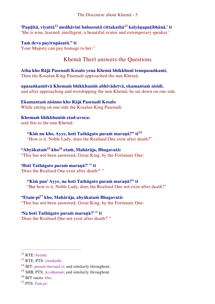**'Paṇḍitā, viyattā<sup>12</sup> medhāvinī bahussutā cittakathā<sup>13</sup> kalyāṇapaṭibhānā.' ti** 'She is wise, learned, intelligent, a beautiful orator and extemporary speaker.'

**Taṁ devo payirupāsatū." ti** Your Majesty can pay homage to her."

## <span id="page-5-0"></span>Khemā Therī answers the Questions

**Atha kho Rājā Pasenadi Kosalo yena Khemā bhikkhunī tenupasaṅkami,** Then the Kosalan King Pasenadi approached the nun Khemā,

**upasaṅkamitvā Khemaṁ bhikkhuniṁ abhivādetvā, ekamantaṁ nisīdi.** and after approaching and worshipping the nun Khemā, he sat down on one side.

#### **Ekamantaṁ nisinno kho Rājā Pasenadi Kosalo**

While sitting on one side the Kosalan King Pasenadi

## **Khemaṁ bhikkhuniṁ etad-avoca:**

said this to the nun Khemā:

**"Kiṁ nu kho, Ayye, hoti Tathāgato paraṁ maraṇā?" ti<sup>14</sup>** "How is it, Noble Lady, does the Realised One exist after death?"

## **"Abyākataṁ<sup>15</sup> kho<sup>16</sup> etaṁ, Mahārāja, Bhagavatā:**

"This has not been answered, Great King, by the Fortunate One:

#### **'Hoti Tathāgato paraṁ maraṇā?' " ti**

'Does the Realised One exist after death?' "

#### **"Kiṁ pan' Ayye, na hoti Tathāgato paraṁ maraṇā?" ti**

"But how is it, Noble Lady, does the Realised One not exist after death?"

## **"Etam-pi<sup>17</sup> kho, Mahārāja, abyākataṁ Bhagavatā:**

"This has not been answered, Great King, by the Fortunate One:

## **'Na hoti Tathāgato paraṁ maraṇā?' " ti**

'Does the Realised One not exist after death?' "

<sup>12</sup> RTE: *byattā*.

<sup>13</sup> RTE, PTS: *cittakathī*.

<sup>14</sup> BJT: *param-maraṇā ti*; and similarly throughout.

<sup>15</sup> SHB, PTS: *Avyākataṁ*; and similarly throughout.

<sup>16</sup> BJT omits: *kho*.

<sup>17</sup> PTS: *Tam pi*.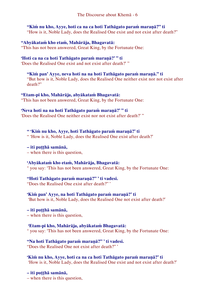## **"Kiṁ nu kho, Ayye, hoti ca na ca hoti Tathāgato paraṁ maraṇā?" ti**

"How is it, Noble Lady, does the Realised One exist and not exist after death?"

## **"Abyākataṁ kho etaṁ, Mahārāja, Bhagavatā:**

"This has not been answered, Great King, by the Fortunate One:

## **'Hoti ca na ca hoti Tathāgato paraṁ maraṇā?' " ti**

'Does the Realised One exist and not exist after death?' "

#### **"Kiṁ pan' Ayye, neva hoti na na hoti Tathāgato paraṁ maraṇā." ti** "But how is it, Noble Lady, does the Realised One neither exist nor not exist after death?"

## **"Etam-pi kho, Mahārāja, abyākataṁ Bhagavatā:**

"This has not been answered, Great King, by the Fortunate One:

## **'Neva hoti na na hoti Tathāgato paraṁ maraṇā?' " ti**

'Does the Realised One neither exist nor not exist after death?' "

## **" 'Kiṁ nu kho, Ayye, hoti Tathāgato paraṁ maraṇā?' ti**

" 'How is it, Noble Lady, does the Realised One exist after death?'

## **– iti puṭṭhā samānā,**

– when there is this question,

## **'Abyākataṁ kho etaṁ, Mahārāja, Bhagavatā:**

° you say: 'This has not been answered, Great King, by the Fortunate One:

## **"Hoti Tathāgato paraṁ maraṇā?" ' ti vadesi.**

"Does the Realised One exist after death?" '

## **'Kiṁ pan' Ayye, na hoti Tathāgato paraṁ maraṇā?' ti**

'But how is it, Noble Lady, does the Realised One not exist after death?'

## **– iti puṭṭhā samānā,**

– when there is this question,

## **'Etam-pi kho, Mahārāja, abyākataṁ Bhagavatā:**

° you say: 'This has not been answered, Great King, by the Fortunate One:

## **"Na hoti Tathāgato paraṁ maraṇā?" ' ti vadesi.**

"Does the Realised One not exist after death?" '

## **'Kiṁ nu kho, Ayye, hoti ca na ca hoti Tathāgato paraṁ maraṇā?' ti**

'How is it, Noble Lady, does the Realised One exist and not exist after death?'

#### **– iti puṭṭhā samānā,**

– when there is this question,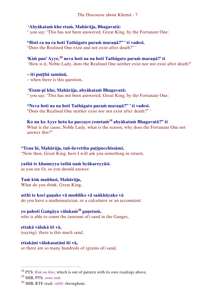## **'Abyākataṁ kho etaṁ, Mahārāja, Bhagavatā:**

° you say: 'This has not been answered, Great King, by the Fortunate One:

## **"Hoti ca na ca hoti Tathāgato paraṁ maraṇā?" ' ti vadesi.**

"Does the Realised One exist and not exist after death?" '

## **'Kiṁ pan' Ayye,<sup>18</sup> neva hoti na na hoti Tathāgato paraṁ maraṇā?' ti**

'How is it, Noble Lady, does the Realised One neither exist nor not exist after death?'

**– iti puṭṭhā samānā,** – when there is this question,

#### **'Etam-pi kho, Mahārāja, abyākataṁ Bhagavatā:**

° you say: 'This has not been answered, Great King, by the Fortunate One:

#### **"Neva hoti na na hoti Tathāgato paraṁ maraṇā?" ' ti vadesi.**

"Does the Realised One neither exist nor not exist after death?" '

#### **Ko nu ko Ayye hetu ko paccayo yenetaṁ<sup>19</sup> abyākataṁ Bhagavatā?" ti** What is the cause, Noble Lady, what is the reason, why does the Fortunate One not answer this?"

## **"Tena hi, Mahārāja, tañ-ñevettha paṭipucchissāmi,**

"Now then, Great King, here I will ask you something in return,

## **yathā te khameyya tathā naṁ byākareyyāsi.**

as you see fit, so you should answer.

## **Taṁ kiṁ maññasi, Mahārāja,**

What do you think, Great King,

#### **atthi te koci gaṇako vā muddiko vā saṅkhāyako vā**

do you have a mathematician, or a calculator or an accountant

## **yo pahoti Gaṅgāya vālukaṁ<sup>20</sup> gaṇetuṁ,**

who is able to count the (amount of) sand in the Ganges,

## **ettakā vālukā iti vā,**

(saying): there is this much sand,

## **ettakāni vālukasatāni iti vā,**

or there are so many hundreds of (grains of) sand,

#### <sup>18</sup> PTS: *Kiṁ nu kho*; which is out of pattern with its own readings above.

<sup>19</sup> SHB, PTS: *yena taṁ*.

<sup>20</sup> SHB, RTE read: *vālik*- throughout.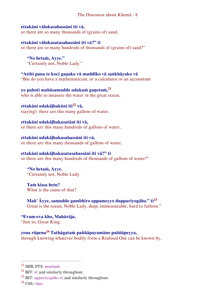#### The Discourse about Khemā - 8

#### **ettakāni vālukasahassāni iti vā,**

or there are so many thousands of (grains of) sand,

#### **ettakāni vālukasatasahassāni iti vā?" ti**

or there are so many hundreds of thousands of (grains of) sand?"

**"No hetaṁ, Ayye."** "Certainly not, Noble Lady."

**"Atthi pana te koci gaṇako vā muddiko vā saṅkhāyako vā**  "But do you have a mathematician, or a calculator or an accountant

**yo pahoti mahāsamudde udakaṁ gaṇetuṁ,<sup>21</sup>** who is able to measure the water in the great ocean,

**ettakāni udakāḷhakāni iti<sup>22</sup> vā,** (saying): there are this many gallons of water,

**ettakāni udakāḷhakasatāni iti vā,**  or there are this many hundreds of gallons of water,

#### **ettakāni udakāḷhakasahassāni iti vā,**

or there are this many thousands of gallons of water,

#### **ettakāni udakāḷhakasatasahassāni iti vā?" ti**

or there are this many hundreds of thousands of gallons of water?"

**"No hetaṁ, Ayye.** "Certainly not, Noble Lady.

**Taṁ kissa hetu?** What is the cause of that?

**Mah' Āyye, samuddo gambhīro appameyyo duppariyogāho." ti<sup>23</sup>** Great is the ocean, Noble Lady, deep, immeasurable, hard to fathom."

**"Evam-eva kho, Mahārāja,**  "Just so, Great King,

**yena rūpena<sup>24</sup> Tathāgataṁ paññāpayamāno paññāpeyya,** through knowing whatever bodily form a Realised One can be known by,

<sup>21</sup> SHB, PTS: *manituṁ*.

 $^{22}$  BJT: *ti*; and similarly throughout.

<sup>23</sup> BJT: *appariyogāho ti*; and similarly throughout.

<sup>24</sup> ChS: *rūpe*.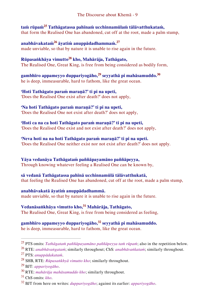**taṁ rūpaṁ<sup>25</sup> Tathāgatassa pahīnaṁ ucchinnamūlaṁ tālāvatthukataṁ,**  that form the Realised One has abandoned, cut off at the root, made a palm stump,

**anabhāvakataṁ<sup>26</sup> āyatiṁ anuppādadhammaṁ.<sup>27</sup>** made unviable, so that by nature it is unable to rise again in the future.

**Rūpasaṅkhāya vimutto<sup>28</sup> kho, Mahārāja, Tathāgato,** The Realised One, Great King, is free from being considered as bodily form,

**gambhīro appameyyo duppariyogāho,<sup>29</sup> seyyathā pi mahāsamuddo.<sup>30</sup>** he is deep, immeasurable, hard to fathom, like the great ocean.

**'Hoti Tathāgato paraṁ maraṇā?' ti pi na upeti,** 

'Does the Realised One exist after death?' does not apply,

**'Na hoti Tathāgato paraṁ maraṇā?' ti pi na upeti,** 

'Does the Realised One not exist after death?' does not apply,

**'Hoti ca na ca hoti Tathāgato paraṁ maraṇā?' ti pi na upeti,**  'Does the Realised One exist and not exist after death?' does not apply,

**'Neva hoti na na hoti Tathāgato paraṁ maraṇā?' ti pi na upeti.** 'Does the Realised One neither exist nor not exist after death?' does not apply.

**Yāya vedanāya Tathāgataṁ paññāpayamāno paññāpeyya,** Through knowing whatever feeling a Realised One can be known by,

**sā vedanā Tathāgatassa pahīnā ucchinnamūlā tālāvatthukatā,**  that feeling the Realised One has abandoned, cut off at the root, made a palm stump,

**anabhāvakatā āyatiṁ anuppādadhammā.** made unviable, so that by nature it is unable to rise again in the future.

**Vedanāsaṅkhāya vimutto kho,<sup>31</sup> Mahārāja, Tathāgato,** The Realised One, Great King, is free from being considered as feeling,

**gambhīro appameyyo duppariyogāho,<sup>32</sup> seyyathā pi mahāsamuddo.**

he is deep, immeasurable, hard to fathom, like the great ocean.

<sup>25</sup> PTS omits: *Tathāgataṁ paññāpayamāno paññāpeyya taṁ rūpaṁ*; also in the repetition below.

<sup>26</sup> RTE: *anabhāvaṅgataṁ*; similarly throughout; ChS: *anabhāvaṅkataṁ*; similarly throughout.

<sup>27</sup> PTS: *anuppādakataṁ*.

<sup>29</sup> BJT: *appariyogāho*.

<sup>28</sup> SHB, RTE: *Rūpasaṅkhyā vimutto kho*; similarly throughout.

<sup>30</sup> RTE: *mahārāja mahāsamuddo kho*; similarly throughout.

<sup>31</sup> ChS omits: *kho*.

<sup>32</sup> BJT from here on writes: *duppariyogāho*; against its earlier: *appariyogāho*.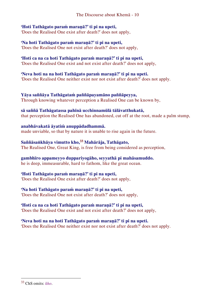## **'Hoti Tathāgato paraṁ maraṇā?' ti pi na upeti,**

'Does the Realised One exist after death?' does not apply,

## **'Na hoti Tathāgato paraṁ maraṇā?' ti pi na upeti,**

'Does the Realised One not exist after death?' does not apply,

## **'Hoti ca na ca hoti Tathāgato paraṁ maraṇā?' ti pi na upeti,**

'Does the Realised One exist and not exist after death?' does not apply,

## **'Neva hoti na na hoti Tathāgato paraṁ maraṇā?' ti pi na upeti.**

'Does the Realised One neither exist nor not exist after death?' does not apply.

#### **Yāya saññāya Tathāgataṁ paññāpayamāno paññāpeyya,** Through knowing whatever perception a Realised One can be known by,

## **sā saññā Tathāgatassa pahīnā ucchinnamūlā tālāvatthukatā,**

that perception the Realised One has abandoned, cut off at the root, made a palm stump,

## **anabhāvakatā āyatiṁ anuppādadhammā.**

made unviable, so that by nature it is unable to rise again in the future.

## **Saññāsaṅkhāya vimutto kho,<sup>33</sup> Mahārāja, Tathāgato,**

The Realised One, Great King, is free from being considered as perception,

## **gambhīro appameyyo duppariyogāho, seyyathā pi mahāsamuddo.**

he is deep, immeasurable, hard to fathom, like the great ocean.

## **'Hoti Tathāgato paraṁ maraṇā?' ti pi na upeti,**

'Does the Realised One exist after death?' does not apply,

## **'Na hoti Tathāgato paraṁ maraṇā?' ti pi na upeti,**

'Does the Realised One not exist after death?' does not apply,

## **'Hoti ca na ca hoti Tathāgato paraṁ maraṇā?' ti pi na upeti,**

'Does the Realised One exist and not exist after death?' does not apply,

## **'Neva hoti na na hoti Tathāgato paraṁ maraṇā?' ti pi na upeti.**

'Does the Realised One neither exist nor not exist after death?' does not apply.

<sup>33</sup> ChS omits: *kho*.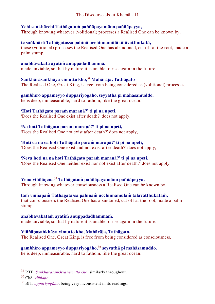## **Yehi saṅkhārehi Tathāgataṁ paññāpayamāno paññāpeyya,**

Through knowing whatever (volitional) processes a Realised One can be known by,

## **te saṅkhārā Tathāgatassa pahīnā ucchinnamūlā tālāvatthukatā,**

those (volitional) processes the Realised One has abandoned, cut off at the root, made a palm stump,

## **anabhāvakatā āyatiṁ anuppādadhammā.**

made unviable, so that by nature it is unable to rise again in the future.

## **Saṅkhārāsaṅkhāya vimutto kho,<sup>34</sup> Mahārāja, Tathāgato**

The Realised One, Great King, is free from being considered as (volitional) processes,

## **gambhīro appameyyo duppariyogāho, seyyathā pi mahāsamuddo.**

he is deep, immeasurable, hard to fathom, like the great ocean.

## **'Hoti Tathāgato paraṁ maraṇā?' ti pi na upeti,**

'Does the Realised One exist after death?' does not apply,

## **'Na hoti Tathāgato paraṁ maraṇā?' ti pi na upeti,**

'Does the Realised One not exist after death?' does not apply,

## **'Hoti ca na ca hoti Tathāgato paraṁ maraṇā?' ti pi na upeti,**

'Does the Realised One exist and not exist after death?' does not apply,

## **'Neva hoti na na hoti Tathāgato paraṁ maraṇā?' ti pi na upeti.**

'Does the Realised One neither exist nor not exist after death?' does not apply.

## **Yena viññāṇena<sup>35</sup> Tathāgataṁ paññāpayamāno paññāpeyya,** Through knowing whatever consciousness a Realised One can be known by,

#### **taṁ viññāṇaṁ Tathāgatassa pahīnaṁ ucchinnamūlaṁ tālāvatthukataṁ,**  that consciousness the Realised One has abandoned, cut off at the root, made a palm stump,

#### **anabhāvakataṁ āyatiṁ anuppādadhammaṁ.** made unviable, so that by nature it is unable to rise again in the future.

#### **Viññāṇasaṅkhāya vimutto kho, Mahārāja, Tathāgato,** The Realised One, Great King, is free from being considered as consciousness,

## **gambhīro appameyyo duppariyogāho,<sup>36</sup> seyyathā pi mahāsamuddo.**

he is deep, immeasurable, hard to fathom, like the great ocean.

<sup>34</sup> RTE: *Saṅkhārāsaṅkhyā vimutto kho*; similarly throughout.

<sup>35</sup> ChS: *viññāṇe*.

<sup>36</sup> BJT: *appariyogāho*; being very inconsistent in its readings.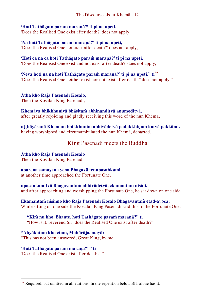## **'Hoti Tathāgato paraṁ maraṇā?' ti pi na upeti,**

'Does the Realised One exist after death?' does not apply,

## **'Na hoti Tathāgato paraṁ maraṇā?' ti pi na upeti,**

'Does the Realised One not exist after death?' does not apply,

## **'Hoti ca na ca hoti Tathāgato paraṁ maraṇā?' ti pi na upeti,**

'Does the Realised One exist and not exist after death?' does not apply,

## **'Neva hoti na na hoti Tathāgato paraṁ maraṇā?' ti pi na upeti." ti<sup>37</sup>**

'Does the Realised One neither exist nor not exist after death?' does not apply."

**Atha kho Rājā Pasenadi Kosalo,**  Then the Kosalan King Pasenadi,

# **Khemāya bhikkhuniyā bhāsitaṁ abhinanditvā anumoditvā,**

after greatly rejoicing and gladly receiving this word of the nun Khemā,

#### **uṭṭhāyāsanā Khemaṁ bhikkhuniṁ abhivādetvā padakkhiṇaṁ katvā pakkāmi.** having worshipped and circumambulated the nun Khemā, departed.

## <span id="page-12-0"></span>King Pasenadi meets the Buddha

#### **Atha kho Rājā Pasenadi Kosalo**  Then the Kosalan King Pasenadi

## **aparena samayena yena Bhagavā tenupasaṅkami,**

at another time approached the Fortunate One,

#### **upasaṅkamitvā Bhagavantaṁ abhivādetvā, ekamantaṁ nisīdi.** and after approaching and worshipping the Fortunate One, he sat down on one side.

#### **Ekamantaṁ nisinno kho Rājā Pasenadi Kosalo Bhagavantaṁ etad-avoca:** While sitting on one side the Kosalan King Pasenadi said this to the Fortunate One:

#### **"Kiṁ nu kho, Bhante, hoti Tathāgato paraṁ maraṇā?" ti**  "How is it, reverend Sir, does the Realised One exist after death?"

#### **"Abyākataṁ kho etaṁ, Mahārāja, mayā:** "This has not been answered, Great King, by me:

#### **'Hoti Tathāgato paraṁ maraṇā?' " ti** 'Does the Realised One exist after death?' "

 $\overline{a}$ 

#### $37$  Required, but omitted in all editions. In the repetition below BJT alone has it.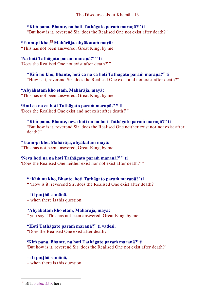## **"Kiṁ pana, Bhante, na hoti Tathāgato paraṁ maraṇā?" ti**

"But how is it, reverend Sir, does the Realised One not exist after death?"

## **"Etam-pi kho,<sup>38</sup> Mahārāja, abyākataṁ mayā:**

"This has not been answered, Great King, by me:

## **'Na hoti Tathāgato paraṁ maraṇā?' " ti**

'Does the Realised One not exist after death?' "

## **"Kiṁ nu kho, Bhante, hoti ca na ca hoti Tathāgato paraṁ maraṇā?" ti**

"How is it, reverend Sir, does the Realised One exist and not exist after death?"

## **"Abyākataṁ kho etaṁ, Mahārāja, mayā:**

"This has not been answered, Great King, by me:

## **'Hoti ca na ca hoti Tathāgato paraṁ maraṇā?' " ti**

'Does the Realised One exist and not exist after death?' "

#### **"Kiṁ pana, Bhante, neva hoti na na hoti Tathāgato paraṁ maraṇā?" ti**  "But how is it, reverend Sir, does the Realised One neither exist nor not exist after death?"

## **"Etam-pi kho, Mahārāja, abyākataṁ mayā:**

"This has not been answered, Great King, by me:

## **'Neva hoti na na hoti Tathāgato paraṁ maraṇā?' " ti**

'Does the Realised One neither exist nor not exist after death?' "

## **" 'Kiṁ nu kho, Bhante, hoti Tathāgato paraṁ maraṇā?' ti**

" 'How is it, reverend Sir, does the Realised One exist after death?'

#### **– iti puṭṭhā samānā,**

– when there is this question,

## **'Abyākataṁ kho etaṁ, Mahārāja, mayā:**

° you say: 'This has not been answered, Great King, by me:

## **"Hoti Tathāgato paraṁ maraṇā?" ti vadesi.**

"Does the Realised One exist after death?"

## **'Kiṁ pana, Bhante, na hoti Tathāgato paraṁ maraṇā?' ti**

'But how is it, reverend Sir, does the Realised One not exist after death?'

## **– iti puṭṭhā samānā,**

– when there is this question,

<sup>38</sup> BJT: *natthi kho*, here.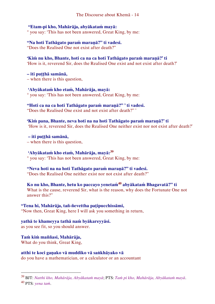#### **"Etam-pi kho, Mahārāja, abyākataṁ mayā:**

° you say: 'This has not been answered, Great King, by me:

## **"Na hoti Tathāgato paraṁ maraṇā?" ti vadesi.**

"Does the Realised One not exist after death?"

## **'Kiṁ nu kho, Bhante, hoti ca na ca hoti Tathāgato paraṁ maraṇā?' ti**

'How is it, reverend Sir, does the Realised One exist and not exist after death?'

## **– iti puṭṭhā samānā,**

– when there is this question,

## **'Abyākataṁ kho etaṁ, Mahārāja, mayā:**

° you say: 'This has not been answered, Great King, by me:

## **"Hoti ca na ca hoti Tathāgato paraṁ maraṇā?" ' ti vadesi.**

"Does the Realised One exist and not exist after death?" '

## **'Kiṁ pana, Bhante, neva hoti na na hoti Tathāgato paraṁ maraṇā?' ti**

'How is it, reverend Sir, does the Realised One neither exist nor not exist after death?'

#### **– iti puṭṭhā samānā,** – when there is this question,

## **'Abyākataṁ kho etaṁ, Mahārāja, mayā:<sup>39</sup>**

° you say: 'This has not been answered, Great King, by me:

## **"Neva hoti na na hoti Tathāgato paraṁ maraṇā?" ti vadesi.**

"Does the Realised One neither exist nor not exist after death?"

## **Ko nu kho, Bhante, hetu ko paccayo yenetaṁ<sup>40</sup> abyākataṁ Bhagavatā?" ti**

What is the cause, reverend Sir, what is the reason, why does the Fortunate One not answer this?"

## **"Tena hi, Mahārāja, tañ-ñevettha paṭipucchissāmi,**

"Now then, Great King, here I will ask you something in return,

## **yathā te khameyya tathā naṁ byākareyyāsi.**

as you see fit, so you should answer.

## **Taṁ kiṁ maññasi, Mahārāja,**

What do you think, Great King,

 $\overline{a}$ 

## **atthi te koci gaṇako vā muddiko vā saṅkhāyako vā**

do you have a mathematician, or a calculator or an accountant

## <sup>39</sup> BJT: *Natthi kho, Mahārāja, Abyākataṁ mayā*; PTS: *Taṁ pi kho, Mahārāja, Abyākataṁ mayā*. <sup>40</sup> PTS: *yena taṁ*.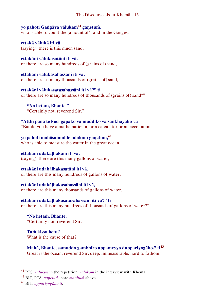#### The Discourse about Khemā - 15

## **yo pahoti Gaṅgāya vālukaṁ<sup>41</sup> gaṇetuṁ,**

who is able to count the (amount of) sand in the Ganges,

**ettakā vālukā iti vā,**  (saying): there is this much sand,

**ettakāni vālukasatāni iti vā,**  or there are so many hundreds of (grains of) sand,

**ettakāni vālukasahassāni iti vā,**  or there are so many thousands of (grains of) sand,

**ettakāni vālukasatasahassāni iti vā?" ti**  or there are so many hundreds of thousands of (grains of) sand?"

**"No hetaṁ, Bhante."** "Certainly not, reverend Sir."

**"Atthi pana te koci gaṇako vā muddiko vā saṅkhāyako vā**  "But do you have a mathematician, or a calculator or an accountant

**yo pahoti mahāsamudde udakaṁ gaṇetuṁ,<sup>42</sup>** who is able to measure the water in the great ocean,

**ettakāni udakāḷhakāni iti vā,** (saying): there are this many gallons of water,

## **ettakāni udakāḷhakasatāni iti vā,**

or there are this many hundreds of gallons of water,

**ettakāni udakāḷhakasahassāni iti vā,**  or there are this many thousands of gallons of water,

**ettakāni udakāḷhakasatasahassāni iti vā?" ti**  or there are this many hundreds of thousands of gallons of water?"

**"No hetaṁ, Bhante.** "Certainly not, reverend Sir.

**Taṁ kissa hetu?** What is the cause of that?

**Mahā, Bhante, samuddo gambhīro appameyyo duppariyogāho." ti<sup>43</sup>** Great is the ocean, reverend Sir, deep, immeasurable, hard to fathom."

<sup>41</sup> PTS: *vālukiṁ* in the repetition, *vālukaṁ* in the interview with Khemā.

<sup>42</sup> BJT, PTS: *paṇetuṁ*, here *manituṁ* above.

<sup>43</sup> BJT: *appariyogāho ti*.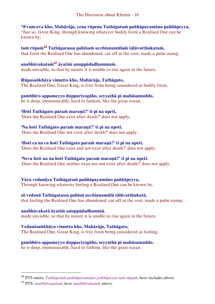## **"Evam-eva kho, Mahārāja, yena rūpena Tathāgataṁ paññāpayamāno paññāpeyya,**

"Just so, Great King, through knowing whatever bodily form a Realised One can be known by,

**taṁ rūpaṁ<sup>44</sup> Tathāgatassa pahīnaṁ ucchinnamūlaṁ tālāvatthukataṁ,**  that form the Realised One has abandoned, cut off at the root, made a palm stump,

## **anabhāvakataṁ<sup>45</sup> āyatiṁ anuppādadhammaṁ.**

made unviable, so that by nature it is unable to rise again in the future.

## **Rūpasaṅkhāya vimutto kho, Mahārāja, Tathāgato,**

The Realised One, Great King, is free from being considered as bodily form,

**gambhīro appameyyo duppariyogāho, seyyathā pi mahāsamuddo.** he is deep, immeasurable, hard to fathom, like the great ocean.

## **'Hoti Tathāgato paraṁ maraṇā?' ti pi na upeti,**

'Does the Realised One exist after death?' does not apply,

## **'Na hoti Tathāgato paraṁ maraṇā?' ti pi na upeti,**

'Does the Realised One not exist after death?' does not apply,

## **'Hoti ca na ca hoti Tathāgato paraṁ maraṇā?' ti pi na upeti,**

'Does the Realised One exist and not exist after death?' does not apply,

## **'Neva hoti na na hoti Tathāgato paraṁ maraṇā?' ti pi na upeti.**

'Does the Realised One neither exist nor not exist after death?' does not apply.

#### **Yāya vedanāya Tathāgataṁ paññāpayamāno paññāpeyya,** Through knowing whatever feeling a Realised One can be known by,

## **sā vedanā Tathāgatassa pahīnā ucchinnamūlā tālāvatthukatā,**

that feeling the Realised One has abandoned, cut off at the root, made a palm stump,

#### **anabhāvakatā āyatiṁ anuppādadhammā.**

made unviable, so that by nature it is unable to rise again in the future.

## **Vedanāsaṅkhāya vimutto kho, Mahārāja, Tathāgato,**

The Realised One, Great King, is free from being considered as feeling,

## **gambhīro appameyyo duppariyogāho, seyyathā pi mahāsamuddo.**

he is deep, immeasurable, hard to fathom, like the great ocean.

<sup>44</sup> PTS omits: *Tathāgataṁ paññāpayamāno paññāpeyya taṁ rūpaṁ*; here includes above.

<sup>45</sup> PTS: *anabhāvagataṁ*, here *anabhāvakataṁ* above.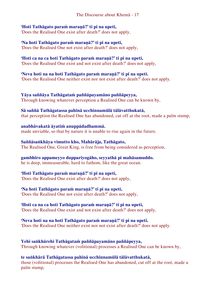#### The Discourse about Khemā - 17

#### **'Hoti Tathāgato paraṁ maraṇā?' ti pi na upeti,**

'Does the Realised One exist after death?' does not apply,

## **'Na hoti Tathāgato paraṁ maraṇā?' ti pi na upeti,**

'Does the Realised One not exist after death?' does not apply,

## **'Hoti ca na ca hoti Tathāgato paraṁ maraṇā?' ti pi na upeti,**

'Does the Realised One exist and not exist after death?' does not apply,

## **'Neva hoti na na hoti Tathāgato paraṁ maraṇā?' ti pi na upeti.**

'Does the Realised One neither exist nor not exist after death?' does not apply.

**Yāya saññāya Tathāgataṁ paññāpayamāno paññāpeyya,** Through knowing whatever perception a Realised One can be known by,

#### **Sā saññā Tathāgatassa pahīnā ucchinnamūlā tālāvatthukatā,**

that perception the Realised One has abandoned, cut off at the root, made a palm stump,

#### **anabhāvakatā āyatiṁ anuppādadhammā.**

made unviable, so that by nature it is unable to rise again in the future.

#### **Saññāsaṅkhāya vimutto kho, Mahārāja, Tathāgato,**

The Realised One, Great King, is free from being considered as perception,

## **gambhīro appameyyo duppariyogāho, seyyathā pi mahāsamuddo.**

he is deep, immeasurable, hard to fathom, like the great ocean.

#### **'Hoti Tathāgato paraṁ maraṇā?' ti pi na upeti,**

'Does the Realised One exist after death?' does not apply,

## **'Na hoti Tathāgato paraṁ maraṇā?' ti pi na upeti,**

'Does the Realised One not exist after death?' does not apply,

## **'Hoti ca na ca hoti Tathāgato paraṁ maraṇā?' ti pi na upeti,**

'Does the Realised One exist and not exist after death?' does not apply,

#### **'Neva hoti na na hoti Tathāgato paraṁ maraṇā?' ti pi na upeti.**

'Does the Realised One neither exist nor not exist after death?' does not apply.

## **Yehi saṅkhārehi Tathāgataṁ paññāpayamāno paññāpeyya,**

Through knowing whatever (volitional) processes a Realised One can be known by,

## **te saṅkhārā Tathāgatassa pahīnā ucchinnamūlā tālāvatthukatā,**

those (volitional) processes the Realised One has abandoned, cut off at the root, made a palm stump,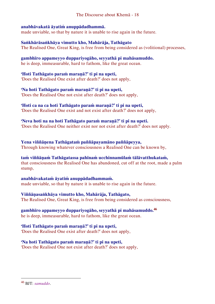#### **anabhāvakatā āyatiṁ anuppādadhammā.**

made unviable, so that by nature it is unable to rise again in the future.

## **Saṅkhārāsaṅkhāya vimutto kho, Mahārāja, Tathāgato**

The Realised One, Great King, is free from being considered as (volitional) processes,

## **gambhīro appameyyo duppariyogāho, seyyathā pi mahāsamuddo.**

he is deep, immeasurable, hard to fathom, like the great ocean.

## **'Hoti Tathāgato paraṁ maraṇā?' ti pi na upeti,**

'Does the Realised One exist after death?' does not apply,

## **'Na hoti Tathāgato paraṁ maraṇā?' ti pi na upeti,**

'Does the Realised One not exist after death?' does not apply,

## **'Hoti ca na ca hoti Tathāgato paraṁ maraṇā?' ti pi na upeti,**

'Does the Realised One exist and not exist after death?' does not apply,

## **'Neva hoti na na hoti Tathāgato paraṁ maraṇā?' ti pi na upeti.**

'Does the Realised One neither exist nor not exist after death?' does not apply.

## **Yena viññāṇena Tathāgataṁ paññāpayamāno paññāpeyya,**

Through knowing whatever consciousness a Realised One can be known by,

## **taṁ viññāṇaṁ Tathāgatassa pahīnaṁ ucchinnamūlaṁ tālāvatthukataṁ,**

that consciousness the Realised One has abandoned, cut off at the root, made a palm stump,

## **anabhāvakataṁ āyatiṁ anuppādadhammaṁ.**

made unviable, so that by nature it is unable to rise again in the future.

## **Viññāṇasaṅkhāya vimutto kho, Mahārāja, Tathāgato,**

The Realised One, Great King, is free from being considered as consciousness,

## **gambhīro appameyyo duppariyogāho, seyyathā pi mahāsamuddo.<sup>46</sup>**

he is deep, immeasurable, hard to fathom, like the great ocean.

## **'Hoti Tathāgato paraṁ maraṇā?' ti pi na upeti,**

'Does the Realised One exist after death?' does not apply,

## **'Na hoti Tathāgato paraṁ maraṇā?' ti pi na upeti,**

'Does the Realised One not exist after death?' does not apply,

<sup>46</sup> BJT: *samuddo*.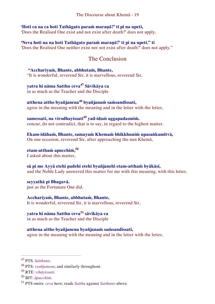**'Hoti ca na ca hoti Tathāgato paraṁ maraṇā?' ti pi na upeti,**  'Does the Realised One exist and not exist after death?' does not apply,

**'Neva hoti na na hoti Tathāgato paraṁ maraṇā?' ti pi na upeti." ti** 'Does the Realised One neither exist nor not exist after death?' does not apply."

## <span id="page-19-0"></span>The Conclusion

**"Acchariyaṁ, Bhante, abbhutaṁ, Bhante,**  "It is wonderful, reverend Sir, it is marvellous, reverend Sir,

**yatra hi nāma Satthu ceva<sup>47</sup> Sāvikāya ca**  in as much as the Teacher and the Disciple

**atthena attho byañjanena<sup>48</sup> byañjanaṁ saṁsandissati,** agree in the meaning with the meaning and in the letter with the letter,

**samessati, na virodhayissati<sup>49</sup> yad-idaṁ aggapadasmiṁ.** concur, do not contradict, that is to say, in regard to the highest matter.

**Ekam-idāhaṁ, Bhante, samayaṁ Khemaṁ bhikkhuniṁ upasaṅkamitvā,** On one occasion, reverend Sir, after approaching the nun Khemā,

**etam-atthaṁ apucchiṁ,<sup>50</sup>** I asked about this matter,

**sā pi me Ayyā etehi padehi etehi byañjanehi etam-atthaṁ byākāsi,** and the Noble Lady answered this matter for me with this meaning, with this letter,

**seyyathā pi Bhagavā.** just as the Fortunate One did.

**Acchariyaṁ, Bhante, abbhutaṁ, Bhante,**  It is wonderful, reverend Sir, it is marvellous, reverend Sir,

**yatra hi nāma Satthu ceva<sup>51</sup> sāvikāya ca** 

in as much as the Teacher and the Disciple

**atthena attho byañjanena byañjanaṁ saṁsandissati,** 

agree in the meaning with the meaning and in the letter with the letter,

<sup>47</sup> PTS: *Satthuno*.

<sup>48</sup> PTS: *vyañjanena*; and similarly throughout.

<sup>49</sup> RTE: *vihāyissati*.

<sup>50</sup> BJT: *āpucchiṁ*.

<sup>51</sup> PTS omits: *ceva* here; reads *Satthu* against *Satthuno* above.